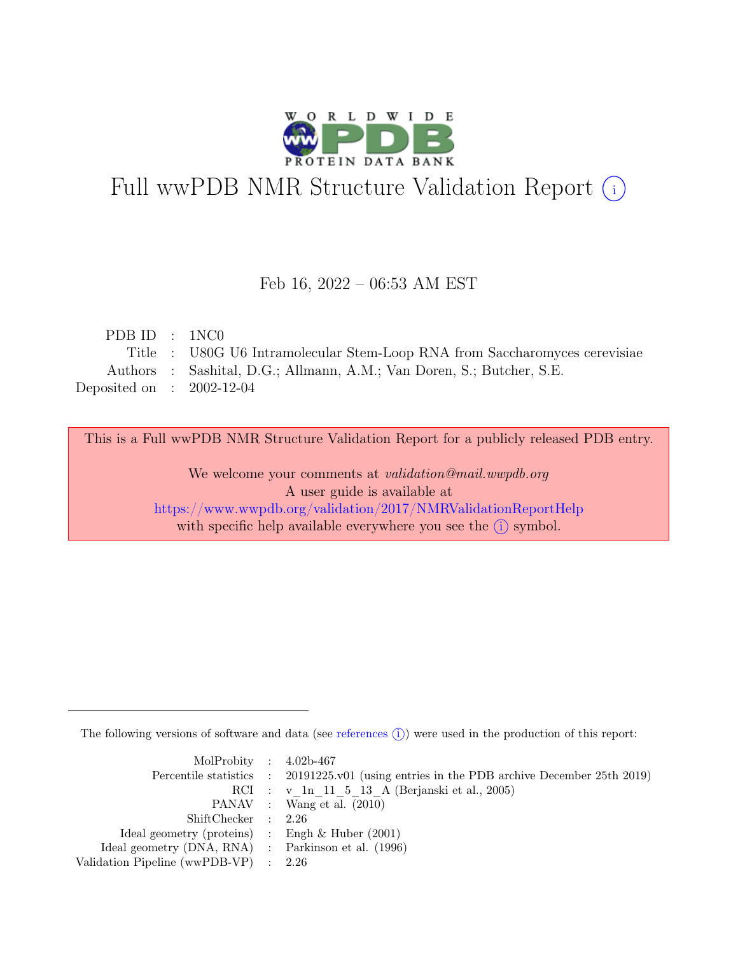

# Full wwPDB NMR Structure Validation Report (i)

### Feb 16, 2022 – 06:53 AM EST

| PDB ID : 1NC0               |                                                                            |
|-----------------------------|----------------------------------------------------------------------------|
|                             | Title : U80G U6 Intramolecular Stem-Loop RNA from Saccharomyces cerevisiae |
|                             | Authors : Sashital, D.G.; Allmann, A.M.; Van Doren, S.; Butcher, S.E.      |
| Deposited on : $2002-12-04$ |                                                                            |

This is a Full wwPDB NMR Structure Validation Report for a publicly released PDB entry.

We welcome your comments at *validation@mail.wwpdb.org* A user guide is available at <https://www.wwpdb.org/validation/2017/NMRValidationReportHelp> with specific help available everywhere you see the  $(i)$  symbol.

The following versions of software and data (see [references](https://www.wwpdb.org/validation/2017/NMRValidationReportHelp#references)  $\hat{I}$ ) were used in the production of this report:

| MolProbity : $4.02b-467$                            |                                                                                            |
|-----------------------------------------------------|--------------------------------------------------------------------------------------------|
|                                                     | Percentile statistics : 20191225.v01 (using entries in the PDB archive December 25th 2019) |
|                                                     | RCI : v 1n 11 5 13 A (Berjanski et al., 2005)                                              |
|                                                     | PANAV : Wang et al. (2010)                                                                 |
| ShiftChecker : 2.26                                 |                                                                                            |
| Ideal geometry (proteins) : Engh $\&$ Huber (2001)  |                                                                                            |
| Ideal geometry (DNA, RNA) : Parkinson et al. (1996) |                                                                                            |
| Validation Pipeline (wwPDB-VP) : $2.26$             |                                                                                            |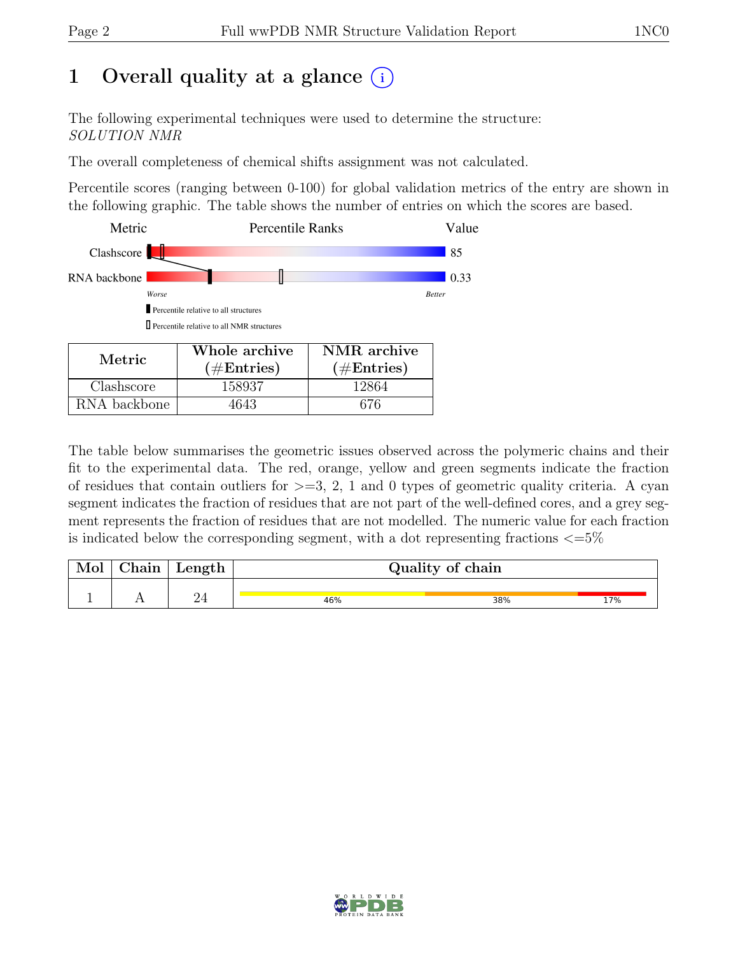# 1 Overall quality at a glance  $(i)$

The following experimental techniques were used to determine the structure: SOLUTION NMR

The overall completeness of chemical shifts assignment was not calculated.

Percentile scores (ranging between 0-100) for global validation metrics of the entry are shown in the following graphic. The table shows the number of entries on which the scores are based.



RNA backbone | 4643 | 676

The table below summarises the geometric issues observed across the polymeric chains and their fit to the experimental data. The red, orange, yellow and green segments indicate the fraction of residues that contain outliers for  $>=$  3, 2, 1 and 0 types of geometric quality criteria. A cyan segment indicates the fraction of residues that are not part of the well-defined cores, and a grey segment represents the fraction of residues that are not modelled. The numeric value for each fraction is indicated below the corresponding segment, with a dot representing fractions  $\epsilon = 5\%$ 

| Mol | ${\rm Chain}$ | Length | Quality of chain |     |     |  |  |  |  |
|-----|---------------|--------|------------------|-----|-----|--|--|--|--|
|     |               |        |                  |     |     |  |  |  |  |
|     |               |        | 46%              | 38% | 17% |  |  |  |  |

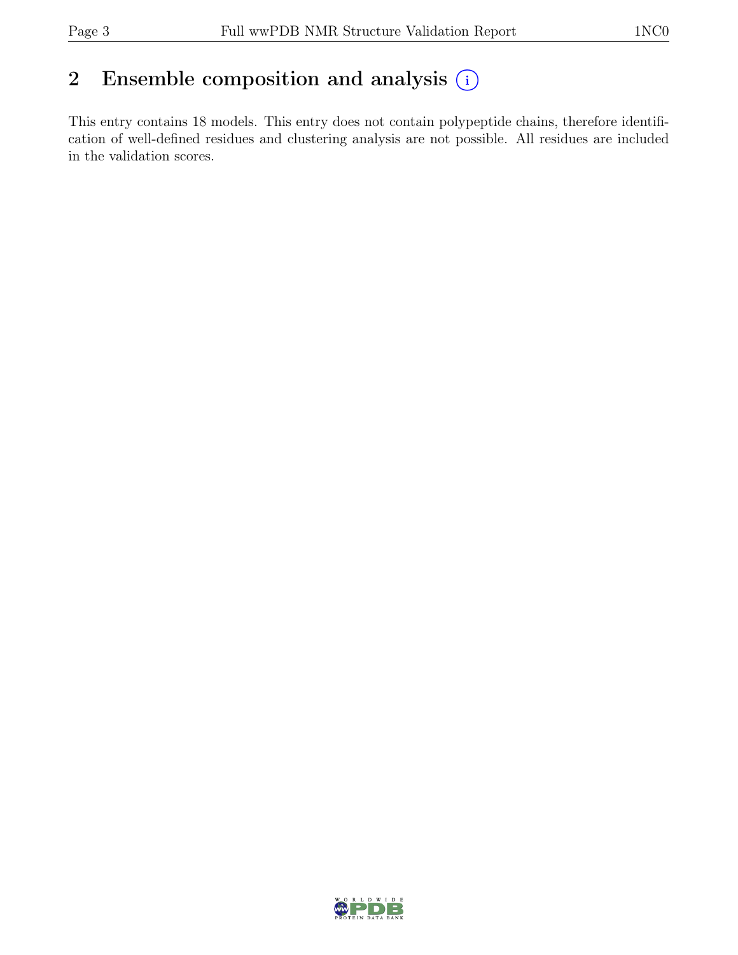# 2 Ensemble composition and analysis  $(i)$

This entry contains 18 models. This entry does not contain polypeptide chains, therefore identification of well-defined residues and clustering analysis are not possible. All residues are included in the validation scores.

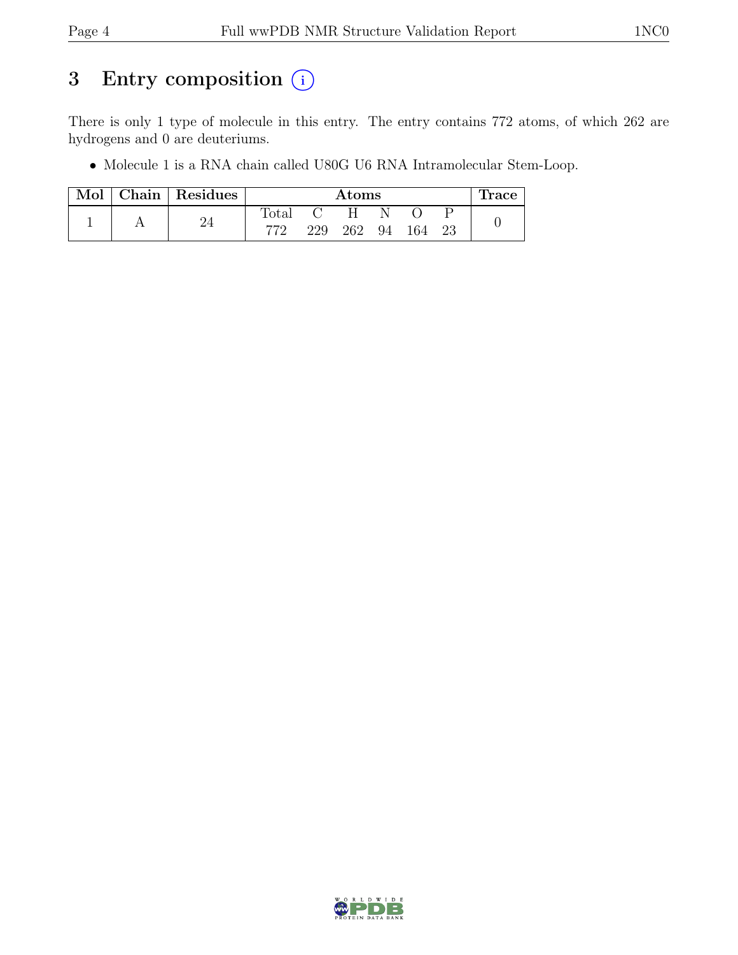# 3 Entry composition  $(i)$

There is only 1 type of molecule in this entry. The entry contains 772 atoms, of which 262 are hydrogens and 0 are deuteriums.

• Molecule 1 is a RNA chain called U80G U6 RNA Intramolecular Stem-Loop.

| Mol | Chain   Residues | $\rm{Atoms}$   |     |     |    |     | race |  |
|-----|------------------|----------------|-----|-----|----|-----|------|--|
|     |                  | $\text{Total}$ |     |     |    |     |      |  |
|     |                  | הדד            | 229 | 262 | 94 | 164 |      |  |

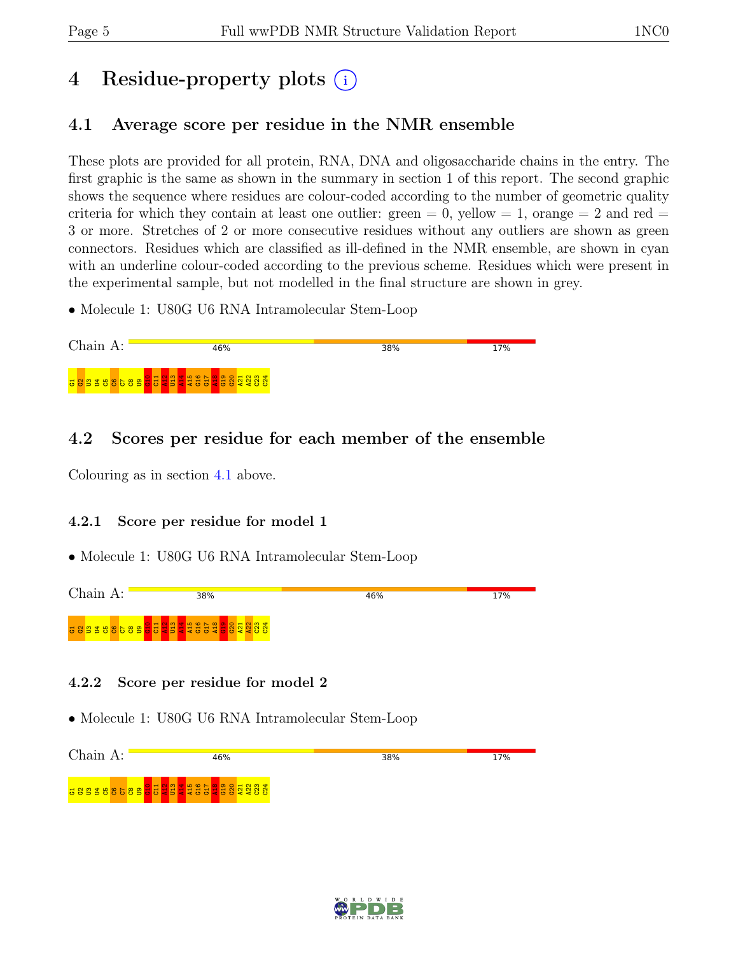# 4 Residue-property plots  $(i)$

# <span id="page-4-0"></span>4.1 Average score per residue in the NMR ensemble

These plots are provided for all protein, RNA, DNA and oligosaccharide chains in the entry. The first graphic is the same as shown in the summary in section 1 of this report. The second graphic shows the sequence where residues are colour-coded according to the number of geometric quality criteria for which they contain at least one outlier:  $green = 0$ ,  $yellow = 1$ ,  $orange = 2$  and  $red =$ 3 or more. Stretches of 2 or more consecutive residues without any outliers are shown as green connectors. Residues which are classified as ill-defined in the NMR ensemble, are shown in cyan with an underline colour-coded according to the previous scheme. Residues which were present in the experimental sample, but not modelled in the final structure are shown in grey.

• Molecule 1: U80G U6 RNA Intramolecular Stem-Loop



# 4.2 Scores per residue for each member of the ensemble

Colouring as in section [4.1](#page-4-0) above.

### 4.2.1 Score per residue for model 1

• Molecule 1: U80G U6 RNA Intramolecular Stem-Loop



### 4.2.2 Score per residue for model 2



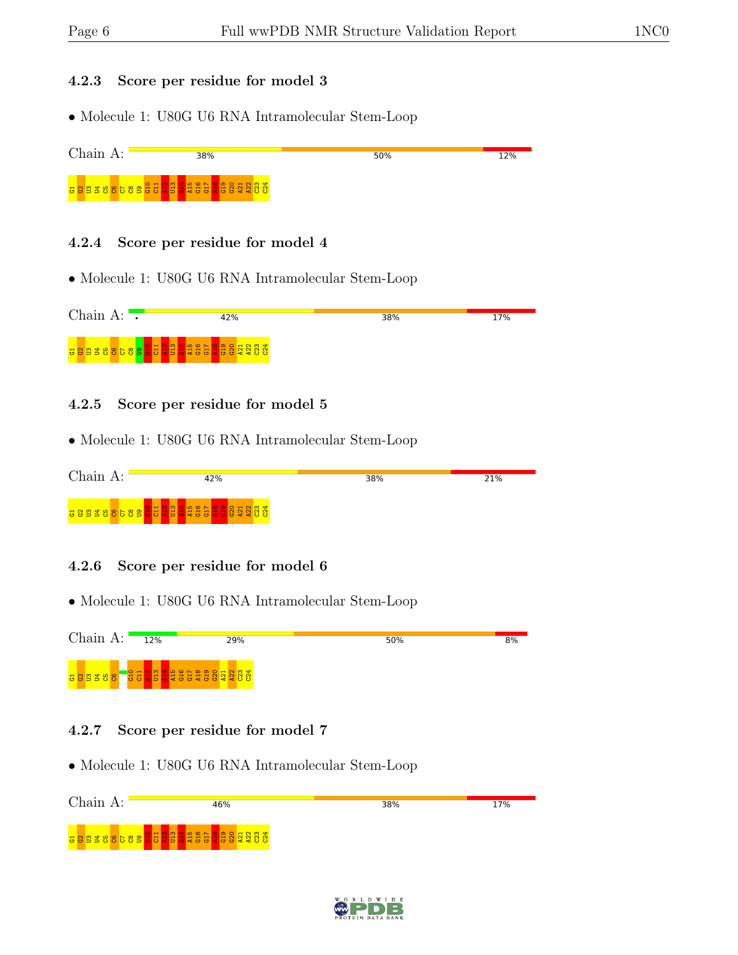#### 4.2.3 Score per residue for model 3

• Molecule 1: U80G U6 RNA Intramolecular Stem-Loop



#### 4.2.4 Score per residue for model 4

• Molecule 1: U80G U6 RNA Intramolecular Stem-Loop

| Chain A: |                                                                                                          | 42% | 38% | 17% |
|----------|----------------------------------------------------------------------------------------------------------|-----|-----|-----|
|          | <mark>ី ខេន្</mark> ទ ខេ <mark>ន្ទ មិនមិន្ទ មិន</mark> ្ទ មិន មិន ខេត្ត <mark>ន</mark> ិន្ទ និង ទី ខេត្ត |     |     |     |

#### 4.2.5 Score per residue for model 5

• Molecule 1: U80G U6 RNA Intramolecular Stem-Loop

| Chain A: | 42%                       | 38% | 21% |
|----------|---------------------------|-----|-----|
|          | <b>388388589333333333</b> |     |     |

#### 4.2.6 Score per residue for model 6

• Molecule 1: U80G U6 RNA Intramolecular Stem-Loop



#### 4.2.7 Score per residue for model 7



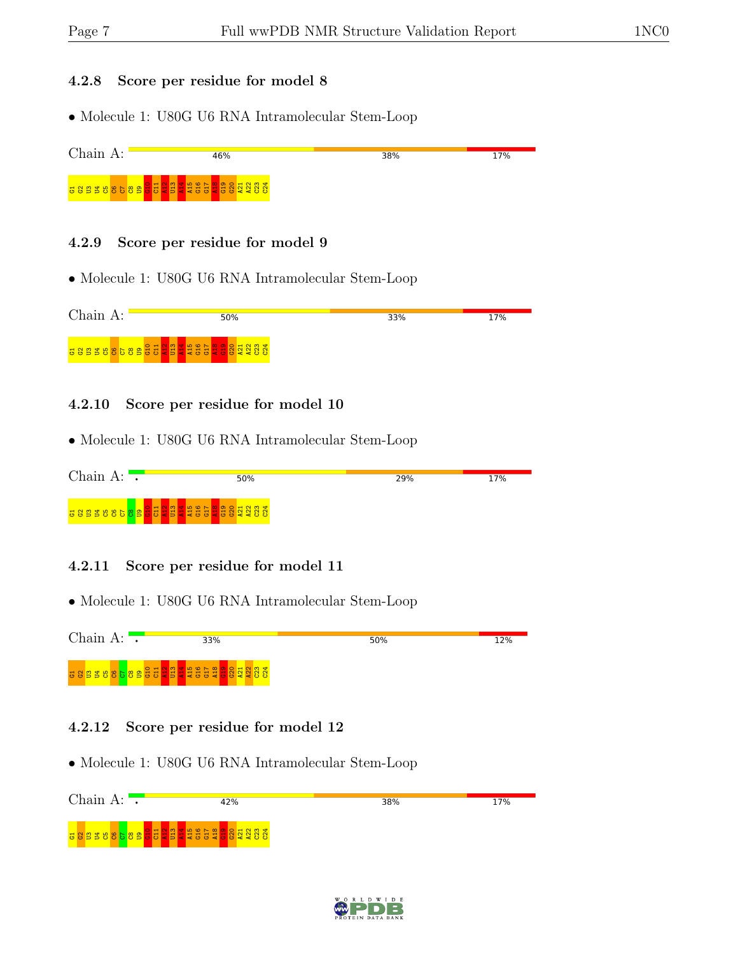#### 4.2.8 Score per residue for model 8

• Molecule 1: U80G U6 RNA Intramolecular Stem-Loop



#### 4.2.9 Score per residue for model 9

• Molecule 1: U80G U6 RNA Intramolecular Stem-Loop

| $Chain A$ : | 50% | 33% | 17% |
|-------------|-----|-----|-----|
|             |     |     |     |

#### 4.2.10 Score per residue for model 10

• Molecule 1: U80G U6 RNA Intramolecular Stem-Loop

| Chain A:          |            | 50% | 29% | 17% |
|-------------------|------------|-----|-----|-----|
| <b>BBBB8858BF</b> | <b>Tal</b> |     |     |     |

#### 4.2.11 Score per residue for model 11

• Molecule 1: U80G U6 RNA Intramolecular Stem-Loop



#### 4.2.12 Score per residue for model 12



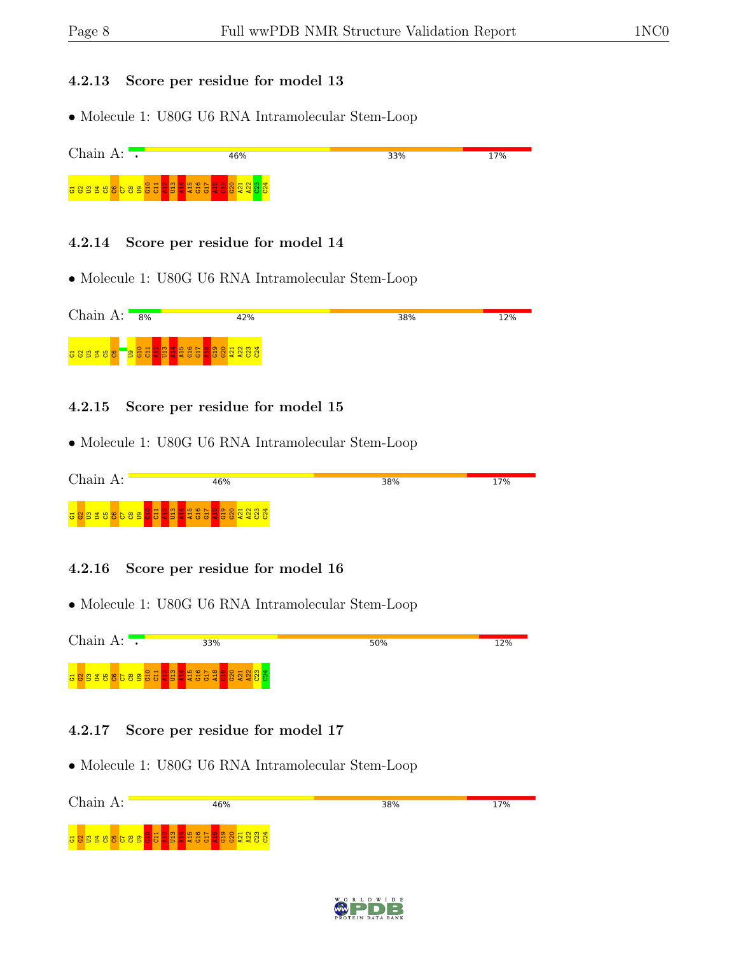#### 4.2.13 Score per residue for model 13

• Molecule 1: U80G U6 RNA Intramolecular Stem-Loop



#### 4.2.14 Score per residue for model 14

• Molecule 1: U80G U6 RNA Intramolecular Stem-Loop



#### 4.2.15 Score per residue for model 15

• Molecule 1: U80G U6 RNA Intramolecular Stem-Loop

| Chain<br>А:<br>16%      |  |  | 38% | 17% |  |  |  |
|-------------------------|--|--|-----|-----|--|--|--|
| 38838865898348835888888 |  |  |     |     |  |  |  |

#### 4.2.16 Score per residue for model 16

• Molecule 1: U80G U6 RNA Intramolecular Stem-Loop



#### 4.2.17 Score per residue for model 17



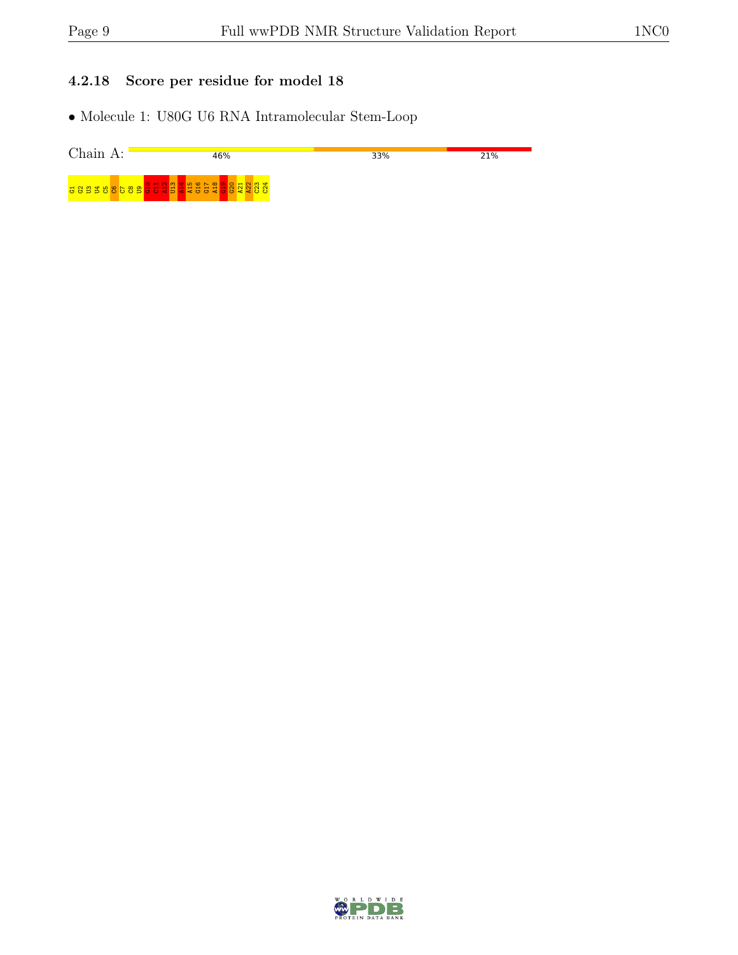### 4.2.18 Score per residue for model 18

| Chain<br>$\Delta$ . | 16%                                                        | 33% | 21% |
|---------------------|------------------------------------------------------------|-----|-----|
|                     | <u>o o b b ō ō o o o b o o a b a a o o a o o a o o a c</u> |     |     |

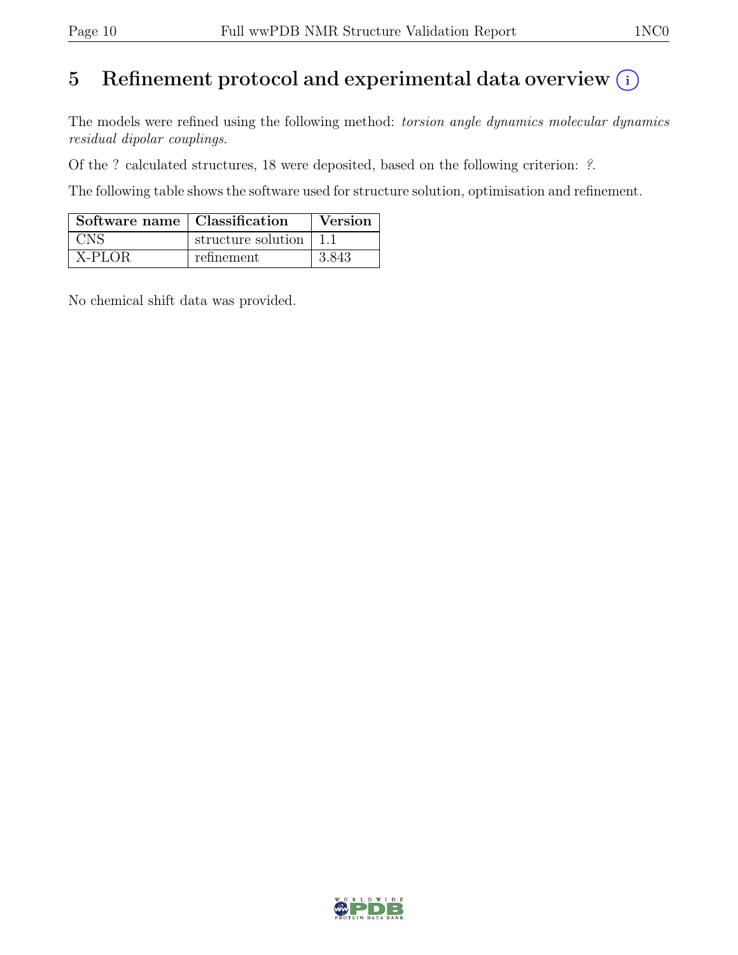# 5 Refinement protocol and experimental data overview  $\odot$

The models were refined using the following method: torsion angle dynamics molecular dynamics residual dipolar couplings.

Of the ? calculated structures, 18 were deposited, based on the following criterion: ?.

The following table shows the software used for structure solution, optimisation and refinement.

| Software name   Classification |                          | Version |
|--------------------------------|--------------------------|---------|
| <b>CNS</b>                     | structure solution   1.1 |         |
| X-PLOR                         | refinement               | 3.843   |

No chemical shift data was provided.

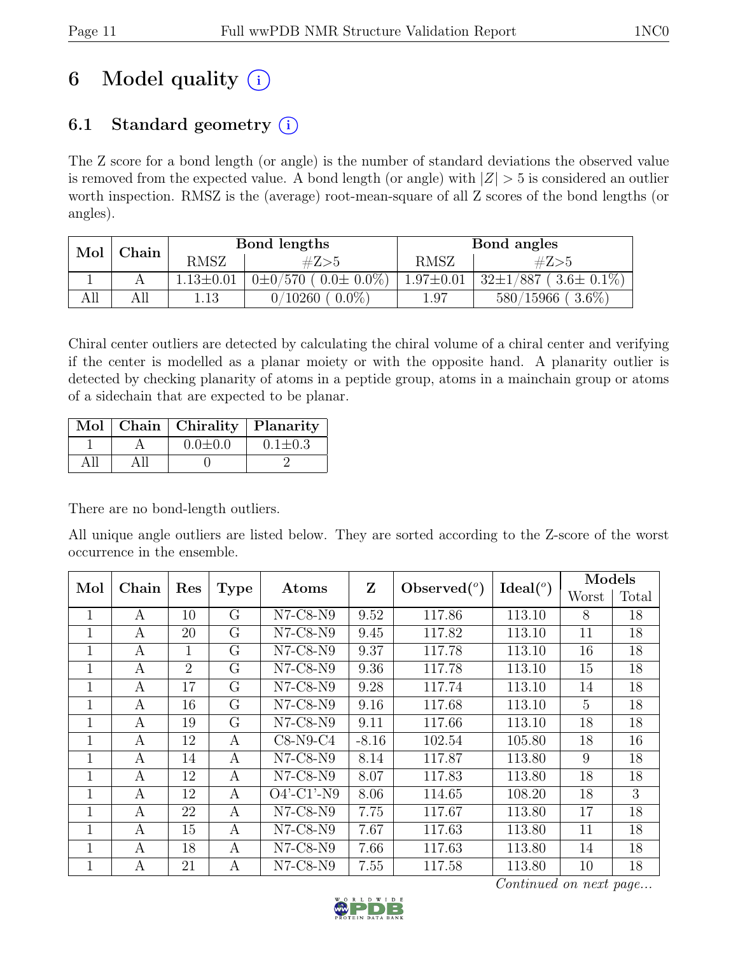# 6 Model quality  $(i)$

# 6.1 Standard geometry  $(i)$

The Z score for a bond length (or angle) is the number of standard deviations the observed value is removed from the expected value. A bond length (or angle) with  $|Z| > 5$  is considered an outlier worth inspection. RMSZ is the (average) root-mean-square of all Z scores of the bond lengths (or angles).

| Mol | $\operatorname{\mathbb{C}}$ hain |                 | Bond lengths                         | Bond angles     |                                        |  |  |
|-----|----------------------------------|-----------------|--------------------------------------|-----------------|----------------------------------------|--|--|
|     |                                  | RMSZ            | #Z>5                                 | <b>RMSZ</b>     | #Z>5                                   |  |  |
|     |                                  | $1.13 \pm 0.01$ | $(0.0 \pm 0.0\%)$<br>$0{\pm}0/570$ ( | $1.97 \pm 0.01$ | $/887$ ( $3.6\pm0.1\%$ )<br>$32 \pm 1$ |  |  |
| ΑШ  | All                              | 1.13            | $0.0\%$<br>0/10260                   | 1.97            | $3.6\%$<br>$580/15966$ (               |  |  |

Chiral center outliers are detected by calculating the chiral volume of a chiral center and verifying if the center is modelled as a planar moiety or with the opposite hand. A planarity outlier is detected by checking planarity of atoms in a peptide group, atoms in a mainchain group or atoms of a sidechain that are expected to be planar.

|  | Mol   Chain   Chirality   Planarity |               |
|--|-------------------------------------|---------------|
|  | $0.0 \pm 0.0$                       | $0.1 \pm 0.3$ |
|  |                                     |               |

There are no bond-length outliers.

All unique angle outliers are listed below. They are sorted according to the Z-score of the worst occurrence in the ensemble.

| Mol          | Chain | Res            |             | Atoms          | Z       | Observed $(°)$ |                      | Models |       |
|--------------|-------|----------------|-------------|----------------|---------|----------------|----------------------|--------|-------|
|              |       |                | <b>Type</b> |                |         |                | Ideal <sup>(o)</sup> | Worst  | Total |
| 1            | A     | 10             | G           | $N7-C8-N9$     | 9.52    | 117.86         | 113.10               | 8      | 18    |
| $\mathbf{1}$ | A     | 20             | G           | $N7-C8-N9$     | 9.45    | 117.82         | 113.10               | 11     | 18    |
| $\mathbf{1}$ | А     | 1              | G           | N7-C8-N9       | 9.37    | 117.78         | 113.10               | 16     | 18    |
| $\mathbf{1}$ | A     | $\overline{2}$ | G           | $N7-C8-N9$     | 9.36    | 117.78         | 113.10               | 15     | 18    |
| 1            | A     | 17             | G           | $N7-C8-N9$     | 9.28    | 117.74         | 113.10               | 14     | 18    |
| 1            | А     | 16             | G           | $N7-C8-N9$     | 9.16    | 117.68         | 113.10               | 5      | 18    |
| 1            | А     | 19             | G           | $N7$ -C8- $N9$ | 9.11    | 117.66         | 113.10               | 18     | 18    |
| 1            | A     | 12             | A           | $C8-N9-C4$     | $-8.16$ | 102.54         | 105.80               | 18     | 16    |
| 1            | A     | 14             | A           | N7-C8-N9       | 8.14    | 117.87         | 113.80               | 9      | 18    |
| $\mathbf{1}$ | A     | 12             | A           | $N7-C8-N9$     | 8.07    | 117.83         | 113.80               | 18     | 18    |
| $\mathbf{1}$ | A     | 12             | A           | $O4'$ -C1'-N9  | 8.06    | 114.65         | 108.20               | 18     | 3     |
| 1            | A     | 22             | A           | $N7-C8-N9$     | 7.75    | 117.67         | 113.80               | 17     | 18    |
| 1            | А     | 15             | A           | N7-C8-N9       | 7.67    | 117.63         | 113.80               | 11     | 18    |
| 1            | A     | 18             | A           | N7-C8-N9       | 7.66    | 117.63         | 113.80               | 14     | 18    |
| 1            | A     | 21             | А           | $N7-C8-N9$     | 7.55    | 117.58         | 113.80               | 10     | 18    |

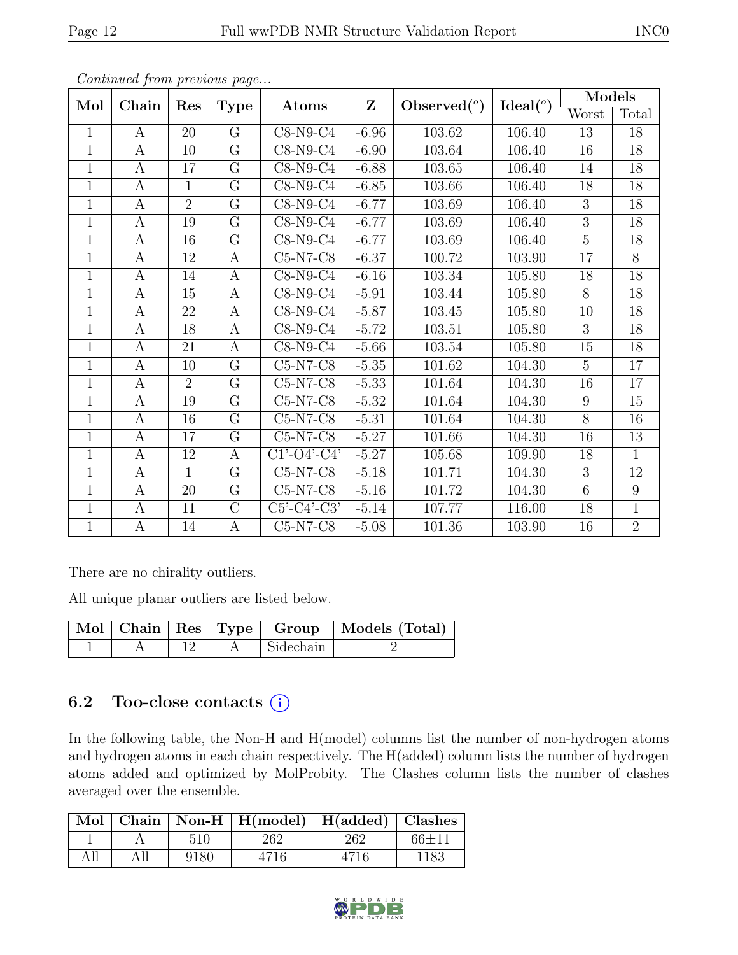| × |  |
|---|--|
|   |  |

|                | $\sim$ onttinuo $\omega$ from protio $\omega$ o pago $\ldots$ |                 |                  |                | $\mathbf{Z}$ |                |                    | Models         |                 |
|----------------|---------------------------------------------------------------|-----------------|------------------|----------------|--------------|----------------|--------------------|----------------|-----------------|
| Mol            | Chain                                                         | Res             | <b>Type</b>      | Atoms          |              | Observed $(°)$ | Ideal <sup>o</sup> | Worst          | Total           |
| $\mathbf{1}$   | $\mathbf{A}$                                                  | 20              | $\rm G$          | $C8-N9-C4$     | $-6.96$      | 103.62         | 106.40             | 13             | 18              |
| $\overline{1}$ | A                                                             | 10              | $\overline{G}$   | $C8-N9-C4$     | $-6.90$      | 103.64         | 106.40             | 16             | 18              |
| $\mathbf{1}$   | A                                                             | 17              | $\rm G$          | $C8-N9-C4$     | $-6.88$      | 103.65         | 106.40             | 14             | 18              |
| $\overline{1}$ | $\overline{A}$                                                | $\overline{1}$  | $\overline{G}$   | $C8-N9-C4$     | $-6.85$      | 103.66         | 106.40             | 18             | $\overline{18}$ |
| $\mathbf{1}$   | $\mathbf{A}$                                                  | $\overline{2}$  | $\overline{G}$   | $C8-N9-C4$     | $-6.77$      | 103.69         | 106.40             | 3              | 18              |
| $\overline{1}$ | $\boldsymbol{A}$                                              | 19              | $\overline{G}$   | $C8-N9-C4$     | $-6.77$      | 103.69         | 106.40             | $\overline{3}$ | $\overline{18}$ |
| $\mathbf{1}$   | A                                                             | 16              | $\overline{G}$   | $C8-N9-C4$     | $-6.77$      | 103.69         | 106.40             | $\overline{5}$ | 18              |
| $\mathbf{1}$   | $\boldsymbol{A}$                                              | 12              | $\boldsymbol{A}$ | $C5-N7-C8$     | $-6.37$      | 100.72         | 103.90             | 17             | 8               |
| $\mathbf{1}$   | $\boldsymbol{A}$                                              | 14              | $\boldsymbol{A}$ | $C8-N9-C4$     | $-6.16$      | 103.34         | 105.80             | 18             | $\overline{18}$ |
| $\mathbf{1}$   | A                                                             | 15              | $\boldsymbol{A}$ | $C8-N9-C4$     | $-5.91$      | 103.44         | 105.80             | 8              | 18              |
| $\mathbf{1}$   | A                                                             | 22              | $\bf{A}$         | $C8-N9-C4$     | $-5.87$      | 103.45         | 105.80             | 10             | 18              |
| $\mathbf{1}$   | $\boldsymbol{A}$                                              | 18              | $\mathbf{A}$     | $C8-N9-C4$     | $-5.72$      | 103.51         | 105.80             | 3              | 18              |
| $\mathbf{1}$   | $\boldsymbol{A}$                                              | 21              | $\mathbf{A}$     | $C8-N9-C4$     | $-5.66$      | 103.54         | 105.80             | 15             | 18              |
| $\mathbf{1}$   | $\boldsymbol{A}$                                              | 10              | $\overline{G}$   | $C5-N7-C8$     | $-5.35$      | 101.62         | 104.30             | $\overline{5}$ | 17              |
| $\mathbf{1}$   | A                                                             | $\overline{2}$  | G                | $C5-N7-C8$     | $-5.33$      | 101.64         | 104.30             | 16             | 17              |
| $\mathbf{1}$   | $\boldsymbol{A}$                                              | 19              | G                | $C5-N7-C8$     | $-5.32$      | 101.64         | 104.30             | 9              | 15              |
| $\mathbf{1}$   | $\boldsymbol{A}$                                              | 16              | G                | $C5-N7-C8$     | $-5.31$      | 101.64         | 104.30             | 8              | 16              |
| $\overline{1}$ | A                                                             | 17              | $\overline{G}$   | $C5-N7-C8$     | $-5.27$      | 101.66         | 104.30             | 16             | 13              |
| $\mathbf{1}$   | A                                                             | 12              | $\boldsymbol{A}$ | $C1'$ -O4'-C4' | $-5.27$      | 105.68         | 109.90             | 18             | $\overline{1}$  |
| $\mathbf{1}$   | A                                                             | $\mathbf 1$     | G                | $C5-N7-C8$     | $-5.18$      | 101.71         | 104.30             | 3              | 12              |
| $\overline{1}$ | $\mathbf{A}$                                                  | 20              | $\overline{G}$   | $C5-N7-C8$     | $-5.16$      | 101.72         | 104.30             | $\overline{6}$ | $\overline{9}$  |
| $\mathbf{1}$   | A                                                             | 11              | $\overline{C}$   | $C5'-C4'-C3'$  | $-5.14$      | 107.77         | 116.00             | 18             | $\mathbf{1}$    |
| $\overline{1}$ | A                                                             | $\overline{1}4$ | $\mathbf{A}$     | $C5-N7-C8$     | $-5.08$      | 101.36         | 103.90             | 16             | $\overline{2}$  |

There are no chirality outliers.

All unique planar outliers are listed below.

|  |  |             | Mol   Chain   Res   Type   Group   Models (Total) |
|--|--|-------------|---------------------------------------------------|
|  |  | A Sidechain |                                                   |

# 6.2 Too-close contacts  $(i)$

In the following table, the Non-H and H(model) columns list the number of non-hydrogen atoms and hydrogen atoms in each chain respectively. The H(added) column lists the number of hydrogen atoms added and optimized by MolProbity. The Clashes column lists the number of clashes averaged over the ensemble.

|     |      | Mol   Chain   Non-H   H(model)   H(added)   Clashes |      |           |
|-----|------|-----------------------------------------------------|------|-----------|
|     | 510  | 262                                                 | 262  | $66 + 11$ |
| All | 9180 | 4716                                                | 4716 | 1183      |

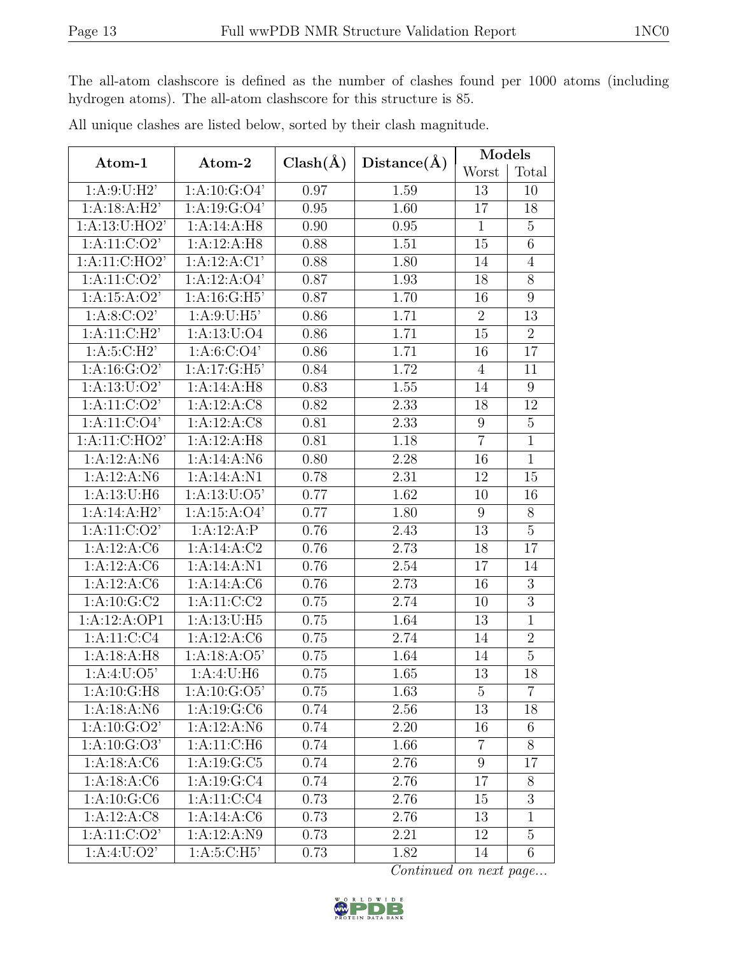The all-atom clashscore is defined as the number of clashes found per 1000 atoms (including hydrogen atoms). The all-atom clashscore for this structure is 85.

| Atom-1                    | Atom-2                    | $Clash(\AA)$ | Distance(A) | Models           |                  |
|---------------------------|---------------------------|--------------|-------------|------------------|------------------|
|                           |                           |              |             | Worst            | Total            |
| 1: A:9: U:H2'             | $1:A:10:\overline{G:O4'}$ | 0.97         | 1.59        | 13               | 10               |
| 1:A:18:A:H2'              | 1: A: 19: G: O4'          | 0.95         | 1.60        | 17               | 18               |
| 1:A:13:U:HO2'             | 1:A:14:A:H8               | 0.90         | 0.95        | 1                | $\overline{5}$   |
| 1:A:11:C:O2'              | 1:A:12:A:H8               | 0.88         | 1.51        | 15               | $\sqrt{6}$       |
| 1:A:11:C:HO2'             | 1:A:12:A:C1'              | 0.88         | 1.80        | 14               | $\overline{4}$   |
| 1: A: 11: C: O2'          | 1:A:12:A:O4'              | 0.87         | 1.93        | 18               | 8                |
| 1:A:15:A:O2'              | 1: A:16: G:H5'            | 0.87         | 1.70        | 16               | 9                |
| 1: A:8: C:O2'             | 1: A:9:U:H5'              | 0.86         | 1.71        | $\overline{2}$   | 13               |
| 1: A:11:C:H2'             | 1: A: 13: U: O4           | 0.86         | 1.71        | 15               | $\overline{2}$   |
| 1: A:5: C:H2'             | 1: A:6: C:O4'             | 0.86         | 1.71        | 16               | 17               |
| 1: A: 16: G: O2'          | 1:A:17:G:H5'              | 0.84         | 1.72        | $\overline{4}$   | 11               |
| 1: A: 13: U: O2'          | 1:A:14:A:H8               | 0.83         | 1.55        | 14               | 9                |
| 1: A: 11: C: O2'          | 1:A:12:A:CS               | 0.82         | 2.33        | 18               | 12               |
| 1: A: 11: C: O4'          | 1:A:12:A:C8               | 0.81         | 2.33        | $9\phantom{.}$   | $\overline{5}$   |
| 1: A:11: C:HO2'           | 1:A:12:A:H8               | 0.81         | 1.18        | $\overline{7}$   | $\overline{1}$   |
| 1:A:12:A:N6               | 1:A:14:A:N6               | 0.80         | 2.28        | 16               | $\mathbf{1}$     |
| 1:A:12:A:N6               | 1:A:14:A:N1               | 0.78         | 2.31        | 12               | 15               |
| 1: A: 13: U: H6           | 1: A: 13: U: O5'          | 0.77         | 1.62        | 10               | 16               |
| 1:A:14:A:H2'              | 1:A:15:A:O4'              | 0.77         | 1.80        | $\boldsymbol{9}$ | $8\,$            |
| 1:A:11:C:O2'              | 1:A:12:A:P                | 0.76         | 2.43        | 13               | $\overline{5}$   |
| 1:A:12:A:C6               | 1:A:14:A:C2               | 0.76         | 2.73        | 18               | 17               |
| 1:A:12:A:C6               | 1:A:14:A:N1               | 0.76         | 2.54        | 17               | 14               |
| 1: A: 12: A: C6           | 1:A:14:A:C6               | 0.76         | 2.73        | 16               | $\boldsymbol{3}$ |
| 1: A: 10: G: C2           | 1: A: 11: C: C2           | 0.75         | 2.74        | 10               | $\overline{3}$   |
| 1:A:12:A:OP1              | 1: A: 13: U: H5           | 0.75         | 1.64        | 13               | $\overline{1}$   |
| 1: A: 11: C: C4           | 1:A:12:A:C6               | 0.75         | 2.74        | 14               | $\sqrt{2}$       |
| 1: A:18:A:H8              | 1:A:18:A:O5'              | 0.75         | 1.64        | 14               | $\overline{5}$   |
| $1:A:4:\overline{U:O5}$   | 1:A:4:U:H6                | 0.75         | 1.65        | 13               | 18               |
| 1: A:10: G:H8             | 1: A:10: G:O5'            | 0.75         | 1.63        | $\overline{5}$   | $\overline{7}$   |
| 1: A: 18: A: N6           | 1: A: 19: G: C6           | 0.74         | 2.56        | 13               | 18               |
| 1: A: 10: G: O2'          | 1:A:12:A:N6               | 0.74         | 2.20        | 16               | 6                |
| $1:A:10:G:\overline{O3'}$ | 1:A:11:C:H6               | 0.74         | 1.66        | $\overline{7}$   | 8                |
| 1: A: 18: A: C6           | 1:A:19:G:C5               | 0.74         | 2.76        | 9                | 17               |
| 1:A:18:A:C6               | 1: A: 19: G: C4           | 0.74         | 2.76        | 17               | 8                |
| $1:A:10:\overline{G:C6}$  | 1: A: 11: C: C4           | 0.73         | 2.76        | 15               | 3                |
| 1:A:12:A:CS               | 1:A:14:A:C6               | 0.73         | 2.76        | 13               | $\mathbf{1}$     |
| $1:A:11:\overline{C:O2'}$ | $1:A:12:A:\overline{N9}$  | 0.73         | 2.21        | 12               | 5                |
| 1: A:4: U:O2'             | 1: A:5: C:H5'             | 0.73         | 1.82        | 14               | $6\phantom{.}6$  |

All unique clashes are listed below, sorted by their clash magnitude.

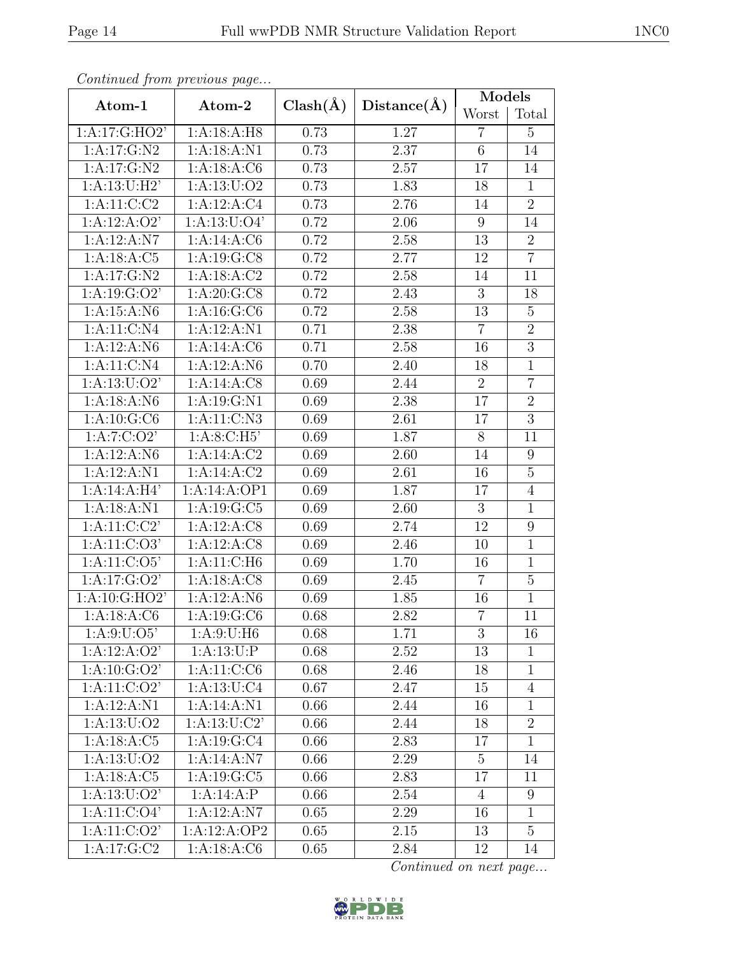| Continuea from previous page |                  |              |             | Models         |                  |
|------------------------------|------------------|--------------|-------------|----------------|------------------|
| Atom-1                       | Atom-2           | $Clash(\AA)$ | Distance(A) | Worst          | Total            |
| 1: A:17: G:HO2'              | 1: A:18:A:H8     | 0.73         | 1.27        | $\overline{7}$ | $\overline{5}$   |
| 1: A: 17: G: N2              | 1:A:18:A:N1      | 0.73         | 2.37        | 6              | 14               |
| 1: A: 17: G: N2              | 1: A: 18: A: C6  | 0.73         | 2.57        | 17             | 14               |
| 1: A:13: U:H2'               | 1: A: 13: U: O2  | 0.73         | 1.83        | 18             | $\mathbf{1}$     |
| 1: A: 11: C: C2              | 1:A:12:A:C4      | 0.73         | 2.76        | 14             | $\overline{2}$   |
| 1:A:12:A:O2'                 | 1: A: 13: U: O4' | 0.72         | 2.06        | 9              | 14               |
| 1:A:12:A:N7                  | 1:A:14:A:C6      | 0.72         | 2.58        | 13             | $\overline{2}$   |
| 1: A: 18: A: C5              | 1:A:19:G:C8      | 0.72         | 2.77        | 12             | $\overline{7}$   |
| 1: A: 17: G: N2              | 1:A:18:A:C2      | 0.72         | 2.58        | 14             | 11               |
| 1:A:19:G:O2                  | 1: A:20: G:CS    | 0.72         | 2.43        | 3              | 18               |
| 1:A:15:A:N6                  | 1: A: 16: G: C6  | 0.72         | 2.58        | 13             | $\overline{5}$   |
| 1: A: 11: C: N4              | 1:A:12:A:N1      | 0.71         | 2.38        | $\overline{7}$ | $\overline{2}$   |
| 1:A:12:A:N6                  | 1: A:14: A: C6   | 0.71         | 2.58        | 16             | $\overline{3}$   |
| 1: A: 11: C: N4              | 1:A:12:A:N6      | 0.70         | 2.40        | 18             | $\mathbf{1}$     |
| 1: A: 13: U: O2'             | 1:A:14:A:CS      | 0.69         | 2.44        | $\overline{2}$ | $\overline{7}$   |
| 1: A: 18: A: N6              | 1:A:19:G:N1      | 0.69         | 2.38        | 17             | $\overline{2}$   |
| 1:A:10:G:C6                  | 1:A:11:C:N3      | 0.69         | $2.61\,$    | 17             | 3                |
| 1:A:7:C:O2'                  | 1: A:8: C:H5'    | 0.69         | 1.87        | 8              | 11               |
| 1:A:12:A:N6                  | 1:A:14:A:C2      | 0.69         | 2.60        | 14             | $\boldsymbol{9}$ |
| 1:A:12:A:N1                  | 1:A:14:A:C2      | 0.69         | 2.61        | 16             | $\overline{5}$   |
| 1:A:14:A:H4'                 | 1:A:14:A:OP1     | 0.69         | 1.87        | 17             | $\overline{4}$   |
| 1:A:18:A:N1                  | 1: A: 19: G: C5  | 0.69         | 2.60        | 3              | $\mathbf{1}$     |
| 1: A:11:C:C2                 | 1:A:12:A:CS      | 0.69         | 2.74        | 12             | 9                |
| 1: A: 11: C: O3'             | 1:A:12:A:C8      | 0.69         | 2.46        | 10             | $\mathbf{1}$     |
| 1: A: 11: C: O5'             | 1: A: 11: C: H6  | 0.69         | 1.70        | 16             | $\mathbf{1}$     |
| 1:A:17:G:O2'                 | 1:A:18:A:C8      | 0.69         | 2.45        | $\overline{7}$ | $\overline{5}$   |
| 1:A:10:G:HO2'                | 1:A:12:A:N6      | 0.69         | 1.85        | 16             | $\mathbf{1}$     |
| 1:A:18:A:C6                  | 1: A: 19: G: C6  | 0.68         | 2.82        | $\overline{7}$ | 11               |
| 1: A:9: U:O5'                | 1:A:9:U:H6       | 0.68         | 1.71        | 3              | 16               |
| 1:A:12:A:O2'                 | 1: A: 13: U:P    | 0.68         | 2.52        | 13             | $\mathbf{1}$     |
| 1: A: 10: G: O2'             | 1:A:11:C:C6      | 0.68         | 2.46        | 18             | $\mathbf{1}$     |
| 1: A: 11: C: O2'             | 1: A: 13: U: C4  | 0.67         | 2.47        | 15             | $\overline{4}$   |
| 1:A:12:A:N1                  | 1:A:14:A:N1      | 0.66         | 2.44        | 16             | $\mathbf{1}$     |
| 1: A: 13: U: O2              | 1: A: 13: U: C2' | 0.66         | 2.44        | 18             | $\overline{2}$   |
| 1: A: 18: A: C5              | 1: A:19:G:C4     | 0.66         | 2.83        | 17             | $\overline{1}$   |
| 1: A: 13: U: O2              | 1:A:14:A:N7      | 0.66         | 2.29        | $\overline{5}$ | 14               |
| 1: A: 18: A: C5              | 1: A: 19: G: C5  | 0.66         | 2.83        | 17             | 11               |
| 1: A: 13: U: O2'             | 1:A:14:A:P       | 0.66         | 2.54        | $\overline{4}$ | $\boldsymbol{9}$ |
| 1:A:11:C:O4'                 | 1:A:12:A:N7      | 0.65         | 2.29        | 16             | $\mathbf{1}$     |
| 1: A: 11: C: O2'             | 1:A:12:A:OP2     | 0.65         | 2.15        | 13             | $\overline{5}$   |
| 1: A:17: G: C2               | 1: A: 18: A: C6  | 0.65         | 2.84        | 12             | 14               |

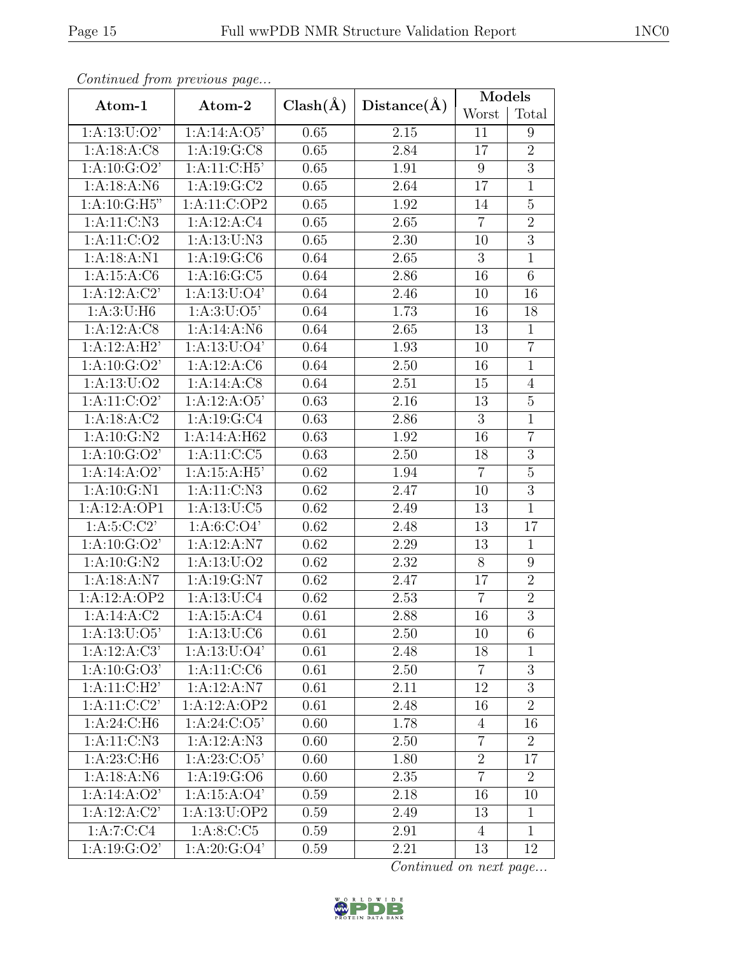|                  | Continuea from previous page       |              |                   | Models          |                |  |
|------------------|------------------------------------|--------------|-------------------|-----------------|----------------|--|
| Atom-1           | Atom-2                             | $Clash(\AA)$ | Distance(A)       | Worst           | Total          |  |
| 1: A: 13: U: O2' | 1:A:14:A:O5'                       | 0.65         | 2.15              | 11              | 9              |  |
| 1:A:18:A:C8      | 1: A: 19: G: C8                    | 0.65         | 2.84              | 17              | $\overline{2}$ |  |
| 1: A: 10: G: O2' | 1:A:11:C:H5'                       | 0.65         | 1.91              | 9               | $\overline{3}$ |  |
| 1:A:18:A:N6      | 1:A:19:G:C2                        | 0.65         | 2.64              | $\overline{17}$ | $\overline{1}$ |  |
| 1:A:10:G:H5"     | 1:A:11:C:OP2                       | 0.65         | 1.92              | 14              | $5\,$          |  |
| 1: A: 11: C: N3  | 1:A:12:A:C4                        | 0.65         | $\overline{2.65}$ | $\overline{7}$  | $\overline{2}$ |  |
| 1: A: 11: C: O2  | 1: A: 13: U: N3                    | 0.65         | 2.30              | 10              | $\overline{3}$ |  |
| 1:A:18:A:N1      | 1: A: 19: G: C6                    | 0.64         | 2.65              | 3               | $\overline{1}$ |  |
| 1:A:15:A:C6      | 1: A: 16: G: C5                    | 0.64         | 2.86              | 16              | $\overline{6}$ |  |
| 1:A:12:A:C2'     | 1: A: 13: U: O4'                   | 0.64         | 2.46              | 10              | 16             |  |
| 1: A:3:U:H6      | 1: A:3: U:O5'                      | 0.64         | 1.73              | 16              | 18             |  |
| 1:A:12:A:CS      | 1: A:14: A: N6                     | 0.64         | 2.65              | 13              | $\mathbf{1}$   |  |
| 1:A:12:A:H2'     | 1: A: 13: U: O4'                   | 0.64         | 1.93              | 10              | $\overline{7}$ |  |
| 1: A:10: G:O2'   | 1:A:12:A:C6                        | 0.64         | 2.50              | 16              | $\mathbf{1}$   |  |
| 1: A: 13: U: O2  | 1: A:14: A: C8                     | 0.64         | 2.51              | 15              | $\overline{4}$ |  |
| 1: A: 11: C: O2' | 1:A:12:A:O5'                       | 0.63         | 2.16              | 13              | $\overline{5}$ |  |
| 1: A: 18: A: C2  | 1: A: 19: G: C4                    | 0.63         | 2.86              | 3               | $\mathbf{1}$   |  |
| 1: A: 10: G: N2  | 1:A:14:A:H62                       | 0.63         | 1.92              | 16              | $\overline{7}$ |  |
| 1: A: 10: G: O2' | 1:A:11:C:C5                        | 0.63         | 2.50              | 18              | $\overline{3}$ |  |
| 1:A:14:A:O2'     | 1: A:15: A:H5'                     | 0.62         | 1.94              | $\overline{7}$  | $\mathbf 5$    |  |
| 1:A:10:G:N1      | 1:A:11:C:N3                        | 0.62         | 2.47              | 10              | $\overline{3}$ |  |
| 1:A:12:A:OP1     | 1: A: 13: U: C5                    | 0.62         | 2.49              | 13              | $\mathbf{1}$   |  |
| 1: A:5:C:C2      | 1: A:6: C:O4'                      | 0.62         | 2.48              | 13              | 17             |  |
| 1: A: 10: G: O2' | 1:A:12:A:N7                        | 0.62         | 2.29              | 13              | $\mathbf{1}$   |  |
| 1:A:10:G:N2      | 1: A: 13: U: O2                    | 0.62         | 2.32              | 8               | 9              |  |
| 1:A:18:A:N7      | 1:A:19:G:N7                        | 0.62         | 2.47              | 17              | $\overline{2}$ |  |
| 1:A:12:A:OP2     | 1: A: 13: U: C4                    | 0.62         | 2.53              | $\overline{7}$  | $\overline{2}$ |  |
| 1:A:14:A:C2      | 1:A:15:A:C4                        | 0.61         | 2.88              | 16              | $\overline{3}$ |  |
| 1: A: 13: U: O5' | 1: A: 13: U: C6                    | 0.61         | 2.50              | 10              | 6              |  |
| 1:A:12:A:C3'     | 1: A: 13: U: O4'                   | 0.61         | 2.48              | 18              | 1              |  |
| 1: A:10: G:O3'   | $1:A:11:C\overline{C}\overline{C}$ | 0.61         | 2.50              | $\overline{7}$  | $\overline{3}$ |  |
| 1: A:11: C:H2'   | 1:A:12:A:N7                        | 0.61         | 2.11              | 12              | $\overline{3}$ |  |
| 1: A: 11: C: C2' | 1:A:12:A:OP2                       | 0.61         | 2.48              | 16              | $\overline{2}$ |  |
| 1:A:24:C:H6      | 1: A:24: C:O5'                     | 0.60         | 1.78              | $\overline{4}$  | 16             |  |
| 1: A: 11: C: N3  | 1:A:12:A:N3                        | 0.60         | 2.50              | $\overline{7}$  | $\overline{2}$ |  |
| 1: A:23: C:H6    | 1: A: 23: C: O5'                   | 0.60         | 1.80              | $\overline{2}$  | 17             |  |
| 1: A: 18: A: N6  | 1:A:19:G:O6                        | 0.60         | 2.35              | $\overline{7}$  | 2              |  |
| 1:A:14:A:O2'     | 1:A:15:A:O4'                       | 0.59         | 2.18              | 16              | 10             |  |
| 1:A:12:A:C2'     | 1:A:13:U:OP2                       | 0.59         | 2.49              | 13              | $\mathbf{1}$   |  |
| 1:A:7:C:C4       | 1:A:8:C:C5                         | 0.59         | 2.91              | $\overline{4}$  | $\mathbf{1}$   |  |
| 1: A: 19: G: O2' | 1: A:20: G:O4'                     | 0.59         | 2.21              | 13              | 12             |  |

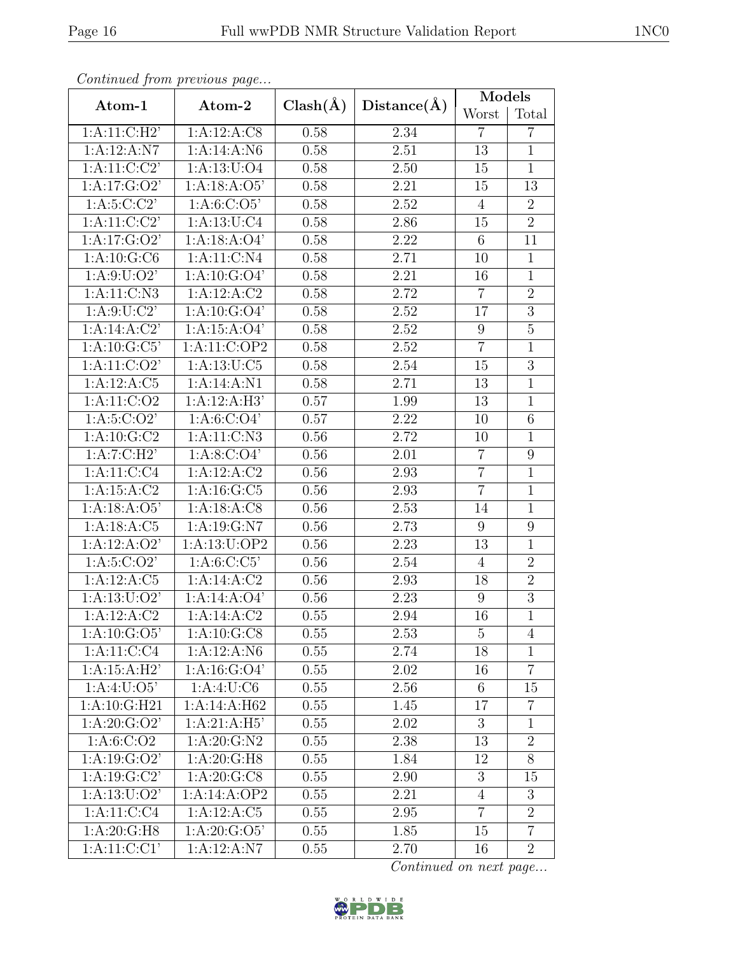|                           | Continuea from previous page |              |             | Models          |                 |
|---------------------------|------------------------------|--------------|-------------|-----------------|-----------------|
| Atom-1                    | Atom-2                       | $Clash(\AA)$ | Distance(A) | Worst           | Total           |
| 1: A:11:C:H2'             | 1:A:12:A:CS                  | 0.58         | 2.34        | $\overline{7}$  | $\overline{7}$  |
| 1:A:12:A:N7               | 1:A:14:A:N6                  | 0.58         | 2.51        | 13              | $\mathbf{1}$    |
| 1: A: 11: C: C2'          | 1: A: 13: U: O4              | 0.58         | 2.50        | 15              | $\mathbf{1}$    |
| 1: A:17: G:O2'            | 1:A:18:A:O5'                 | 0.58         | 2.21        | 15              | $\overline{13}$ |
| 1: A:5:C:C2'              | 1: A:6: C:O5'                | 0.58         | 2.52        | $\overline{4}$  | $\overline{2}$  |
| 1: A:11:C:C2              | 1: A: 13: U: C4              | 0.58         | 2.86        | 15              | $\overline{2}$  |
| 1:A:17:G:O2'              | 1:A:18:A:O4'                 | 0.58         | 2.22        | 6               | 11              |
| 1: A: 10: G: C6           | 1:A:11:C:N4                  | 0.58         | 2.71        | 10              | $\mathbf{1}$    |
| 1: A:9: U:O2'             | 1: A: 10: G: O4'             | 0.58         | 2.21        | 16              | $\overline{1}$  |
| 1: A: 11: C: N3           | 1:A:12:A:C2                  | 0.58         | 2.72        | $\overline{7}$  | $\overline{2}$  |
| 1: A:9: U: C2'            | 1: A: 10: G: O4'             | 0.58         | 2.52        | 17              | $\overline{3}$  |
| 1:A:14:A:C2'              | 1:A:15:A:O4'                 | 0.58         | 2.52        | $9\phantom{.0}$ | $\overline{5}$  |
| 1: A: 10: G: C5'          | 1:A:11:C:OP2                 | 0.58         | 2.52        | $\overline{7}$  | $\mathbf{1}$    |
| $1:A:11:\overline{C:O2'}$ | 1: A: 13: U: C5              | 0.58         | 2.54        | 15              | $\overline{3}$  |
| 1:A:12:A:C5               | 1:A:14:A:N1                  | 0.58         | 2.71        | 13              | $\mathbf{1}$    |
| 1: A: 11: C: O2           | 1:A:12:A:H3'                 | 0.57         | 1.99        | 13              | $\mathbf{1}$    |
| 1: A:5: C:O2'             | 1: A:6: C:O4'                | 0.57         | 2.22        | 10              | 6               |
| 1: A: 10: G: C2           | 1:A:11:C:N3                  | 0.56         | 2.72        | 10              | $\mathbf{1}$    |
| 1:A:7:C:H2                | 1: A:8: C:O4'                | 0.56         | 2.01        | $\overline{7}$  | 9               |
| 1: A: 11: C: C4           | 1:A:12:A:C2                  | 0.56         | 2.93        | $\overline{7}$  | $\mathbf{1}$    |
| 1: A: 15: A: C2           | 1:A:16:G:C5                  | 0.56         | 2.93        | $\overline{7}$  | $\mathbf{1}$    |
| 1:A:18:A:O5'              | 1:A:18:A:C8                  | 0.56         | 2.53        | 14              | $\mathbf{1}$    |
| 1:A:18:A:C5               | 1:A:19:G:N7                  | 0.56         | 2.73        | $9\phantom{.}$  | $\overline{9}$  |
| 1:A:12:A:O2'              | 1:A:13:U:OP2                 | 0.56         | 2.23        | 13              | $\mathbf{1}$    |
| 1: A:5:C O 2'             | 1: A:6: C: C5'               | 0.56         | 2.54        | $\overline{4}$  | $\overline{2}$  |
| 1:A:12:A:C5               | 1:A:14:A:C2                  | 0.56         | 2.93        | 18              | $\overline{2}$  |
| 1: A: 13: U: O2'          | 1:A:14:A:O4'                 | 0.56         | 2.23        | $9\phantom{.0}$ | $\overline{3}$  |
| 1:A:12:A:C2               | 1:A:14:A:C2                  | 0.55         | <b>2.94</b> | 16              | $\overline{1}$  |
| 1: A: 10: G: O5'          | 1: A: 10: G: C8              | 0.55         | 2.53        | 5               | $\overline{4}$  |
| 1: A: 11: C: C4           | 1:A:12:A:N6                  | 0.55         | 2.74        | 18              | $\mathbf{1}$    |
| 1:A:15:A:H2'              | 1: A: 16: G: O4'             | 0.55         | 2.02        | 16              | $\overline{7}$  |
| 1: A:4: U:O5'             | 1:A:4:U:C6                   | 0.55         | 2.56        | $6\phantom{.}6$ | 15              |
| 1:A:10:G:H21              | 1:A:14:A:H62                 | 0.55         | 1.45        | 17              | $\overline{7}$  |
| 1: A:20: G:O2'            | 1:A:21:A:H5                  | 0.55         | 2.02        | 3               | $\mathbf{1}$    |
| 1: A:6: C:O2              | 1: A:20: G:N2                | 0.55         | 2.38        | 13              | $\overline{2}$  |
| 1: A: 19: G: O2'          | 1: A:20: G:H8                | 0.55         | 1.84        | 12              | $8\,$           |
| 1: A: 19: G: C2'          | 1: A:20: G:CS                | 0.55         | 2.90        | 3               | 15              |
| 1: A: 13: U: O2'          | 1:A:14:A:OP2                 | $0.55\,$     | 2.21        | $\overline{4}$  | $\overline{3}$  |
| 1: A: 11: C: C4           | 1:A:12:A:C5                  | 0.55         | 2.95        | $\overline{7}$  | $\overline{2}$  |
| 1: A:20: G:H8             | $1:A:20:\overline{G:O5}$     | 0.55         | 1.85        | 15              | $\overline{7}$  |
| 1:A:11:C:CI'              | 1:A:12:A:N7                  | 0.55         | 2.70        | 16              | $\overline{2}$  |

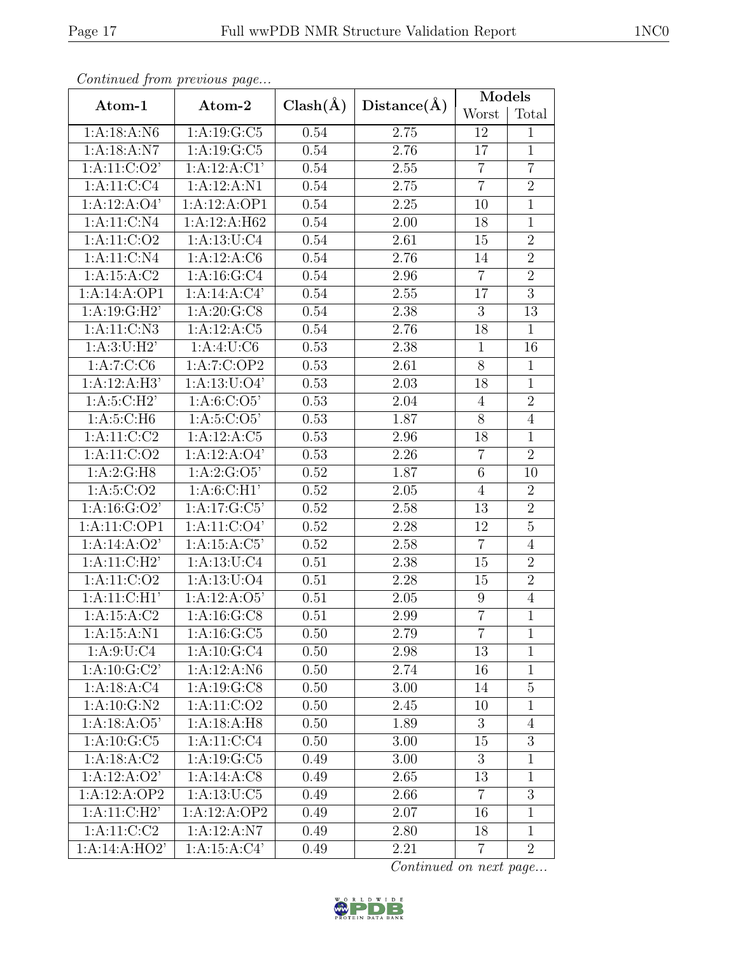|                          | Continued from previous page |              |             | Models           |                 |
|--------------------------|------------------------------|--------------|-------------|------------------|-----------------|
| Atom-1                   | Atom-2                       | $Clash(\AA)$ | Distance(A) | Worst            | Total           |
| 1:A:18:A:N6              | 1:A:19:G:C5                  | 0.54         | 2.75        | 12               | $\mathbf{1}$    |
| 1:A:18:A:N7              | 1:A:19:G:C5                  | 0.54         | 2.76        | 17               | $\mathbf{1}$    |
| 1: A: 11: C: O2'         | 1:A:12:A:CI'                 | 0.54         | 2.55        | $\overline{7}$   | $\overline{7}$  |
| 1: A: 11: C: C4          | 1:A:12:A:N1                  | 0.54         | 2.75        | $\overline{7}$   | $\overline{2}$  |
| 1:A:12:A:O4'             | 1:A:12:A:OP1                 | 0.54         | $2.25\,$    | 10               | $\mathbf{1}$    |
| 1: A: 11: C: N4          | 1:A:12:A:H62                 | 0.54         | 2.00        | 18               | $\mathbf{1}$    |
| 1: A: 11: C: O2          | 1: A: 13: U: C4              | 0.54         | 2.61        | 15               | $\overline{2}$  |
| 1: A: 11: C: N4          | 1:A:12:A:C6                  | 0.54         | 2.76        | 14               | $\overline{2}$  |
| 1: A: 15: A: C2          | 1: A:16:G:C4                 | 0.54         | 2.96        | $\overline{7}$   | $\overline{2}$  |
| 1:A:14:A:OP1             | $1:A:14:A:C\overline{4'}$    | 0.54         | 2.55        | 17               | $\overline{3}$  |
| 1: A:19: G:H2'           | 1: A:20: G:CS                | 0.54         | 2.38        | $\overline{3}$   | $\overline{13}$ |
| 1: A: 11: C: N3          | 1:A:12:A:C5                  | 0.54         | 2.76        | 18               | $\mathbf{1}$    |
| 1: A:3: U:H2'            | 1:A:4:U:C6                   | 0.53         | 2.38        | $\mathbf{1}$     | 16              |
| 1:A:7:C:CG               | 1:A:7:C:OP2                  | 0.53         | 2.61        | $8\,$            | $\mathbf{1}$    |
| 1:A:12:A:H3'             | 1: A: 13: U: 04'             | 0.53         | 2.03        | 18               | $\mathbf{1}$    |
| 1: A:5: C:H2'            | 1: A:6: C:O5'                | 0.53         | 2.04        | $\overline{4}$   | $\overline{2}$  |
| 1: A:5: C:H6             | 1: A:5: C:O5'                | 0.53         | 1.87        | 8                | $\overline{4}$  |
| $1:A:11:C:\overline{C2}$ | 1:A:12:A:C5                  | 0.53         | 2.96        | 18               | $\mathbf{1}$    |
| 1:A:11:C:O2              | 1:A:12:A:O4'                 | 0.53         | 2.26        | $\overline{7}$   | $\overline{2}$  |
| 1: A:2: G:H8             | 1: A:2: G:O5'                | 0.52         | 1.87        | $6\phantom{.}6$  | 10              |
| 1: A:5: C:O2             | 1: A:6: C:H1'                | 0.52         | 2.05        | $\overline{4}$   | $\overline{2}$  |
| 1: A: 16: G: O2'         | 1:A:17:G:C5'                 | 0.52         | 2.58        | 13               | $\overline{2}$  |
| 1:A:11:C:OP1             | 1: A: 11: C: O4'             | 0.52         | 2.28        | 12               | $\overline{5}$  |
| 1:A:14:A:O2'             | 1: A:15: A: C5'              | 0.52         | 2.58        | $\overline{7}$   | $\overline{4}$  |
| 1: A:11: C:H2'           | 1: A: 13: U: C4              | 0.51         | 2.38        | 15               | $\overline{2}$  |
| 1: A: 11: C: O2          | 1:A:13:U:O4                  | 0.51         | 2.28        | 15               | $\overline{2}$  |
| 1:A:11:C:H1              | 1:A:12:A:O5'                 | 0.51         | 2.05        | 9                | $\overline{4}$  |
| 1: A: 15: A: C2          | 1: A: 16: G: C8              | 0.51         | 2.99        | $\overline{7}$   | $\overline{1}$  |
| 1: A: 15: A: N1          | 1: A: 16: G: C5              | 0.50         | 2.79        | $\overline{7}$   | $\mathbf{1}$    |
| 1: A:9:U:C4              | 1: A: 10: G: C4              | 0.50         | 2.98        | 13               | $\mathbf{1}$    |
| 1: A:10: G:C2'           | 1:A:12:A:N6                  | 0.50         | 2.74        | 16               | $\mathbf{1}$    |
| 1: A: 18: A: C4          | 1: A: 19: G: C8              | 0.50         | 3.00        | 14               | $\overline{5}$  |
| $1:A:10:G:\overline{N2}$ | 1: A: 11: C: O2              | 0.50         | 2.45        | 10               | $\mathbf{1}$    |
| 1: A:18: A:O5'           | 1:A:18:A:H8                  | 0.50         | 1.89        | 3                | $\overline{4}$  |
| $1:A:10:G\overline{C5}$  | 1:A:11:C:C4                  | 0.50         | 3.00        | 15               | $\overline{3}$  |
| 1:A:18:A:C2              | 1: A: 19: G: C5              | 0.49         | 3.00        | $\boldsymbol{3}$ | $\mathbf{1}$    |
| 1:A:12:A:O2'             | 1:A:14:A:C8                  | 0.49         | 2.65        | 13               | $\mathbf{1}$    |
| 1:A:12:A:OP2             | 1: A: 13: U: C5              | 0.49         | 2.66        | $\overline{7}$   | $\overline{3}$  |
| 1: A:11: C:H2'           | 1:A:12:A:OP2                 | 0.49         | 2.07        | 16               | $\mathbf{1}$    |
| 1: A: 11: C: C2          | 1:A:12:A:N7                  | 0.49         | 2.80        | 18               | $\mathbf{1}$    |
| 1:A:14:A:HO2'            | 1: A:15: A:C4'               | 0.49         | 2.21        | $\overline{7}$   | $\overline{2}$  |

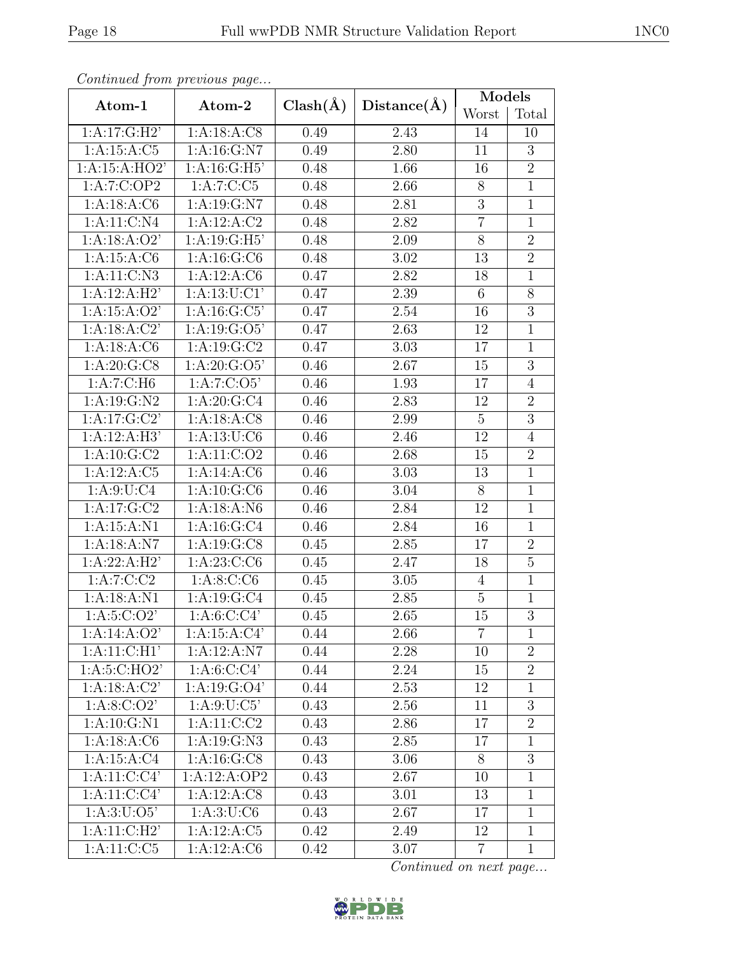|                           | Continuea from previous page |              |             | Models         |                |
|---------------------------|------------------------------|--------------|-------------|----------------|----------------|
| Atom-1                    | Atom-2                       | $Clash(\AA)$ | Distance(A) | Worst          | Total          |
| 1:A:17:G:H2'              | 1:A:18:A:CS                  | 0.49         | 2.43        | 14             | 10             |
| 1: A: 15: A: C5           | 1:A:16:G:N7                  | 0.49         | 2.80        | 11             | $\overline{3}$ |
| 1:A:15:A:HO2'             | 1: A:16: G:H5'               | 0.48         | 1.66        | 16             | $\overline{2}$ |
| 1:A:7:C:OP2               | 1:A:7:C:C5                   | 0.48         | 2.66        | 8              | $\overline{1}$ |
| 1: A: 18: A: C6           | 1: A: 19: G: N7              | 0.48         | 2.81        | 3              | $\mathbf{1}$   |
| 1: A: 11: C: N4           | 1:A:12:A:C2                  | 0.48         | 2.82        | $\overline{7}$ | $\overline{1}$ |
| 1: A: 18: A: O2'          | 1: A:19: G:H5'               | 0.48         | 2.09        | 8              | $\overline{2}$ |
| 1: A: 15: A: C6           | 1: A: 16: G: C6              | 0.48         | 3.02        | 13             | $\overline{2}$ |
| 1: A: 11: C: N3           | 1:A:12:A:C6                  | 0.47         | 2.82        | 18             | $\mathbf{1}$   |
| 1:A:12:A:H2'              | 1: A: 13: U: C1'             | 0.47         | 2.39        | 6              | 8              |
| 1:A:15:A:O2'              | 1: A: 16: G: C5'             | 0.47         | 2.54        | 16             | $\overline{3}$ |
| 1:A:18:A:C2'              | 1: A: 19: G: O5'             | 0.47         | 2.63        | 12             | $\mathbf{1}$   |
| 1: A: 18: A: C6           | 1: A: 19: G: C2              | 0.47         | 3.03        | 17             | $\mathbf{1}$   |
| 1: A:20: G:CS             | 1: A:20: G:O5'               | 0.46         | 2.67        | 15             | $\overline{3}$ |
| 1:A:7:C:H6                | 1:A:7:C:O5'                  | 0.46         | 1.93        | 17             | $\overline{4}$ |
| 1: A: 19: G: N2           | 1:A:20:G:C4                  | 0.46         | 2.83        | 12             | $\overline{2}$ |
| 1: A:17: G: C2'           | 1:A:18:A:CS                  | 0.46         | 2.99        | $\overline{5}$ | 3              |
| 1:A:12:A:H3'              | 1: A: 13: U: C6              | 0.46         | 2.46        | 12             | $\overline{4}$ |
| 1:A:10:G:C2               | 1: A: 11: C: O2              | 0.46         | 2.68        | 15             | $\overline{2}$ |
| 1: A: 12: A: C5           | 1:A:14:A:C6                  | 0.46         | 3.03        | 13             | $\mathbf{1}$   |
| 1: A:9: U: C4             | 1: A: 10: G: C6              | 0.46         | 3.04        | $\overline{8}$ | $\overline{1}$ |
| 1: A:17: G: C2            | 1:A:18:A:N6                  | 0.46         | 2.84        | 12             | $\mathbf{1}$   |
| 1:A:15:A:N1               | 1: A: 16: G: C4              | 0.46         | 2.84        | 16             | $\mathbf{1}$   |
| 1:A:18:A:N7               | 1:A:19:G:CS                  | 0.45         | 2.85        | 17             | $\overline{2}$ |
| 1:A:22:A:H2'              | 1:A:23:C:CG                  | 0.45         | 2.47        | 18             | 5              |
| 1: A: 7: C: C2            | 1:A:8:C:CG                   | 0.45         | 3.05        | $\overline{4}$ | $\overline{1}$ |
| 1: A: 18: A: N1           | 1: A: 19: G: C4              | 0.45         | 2.85        | 5              | $\mathbf{1}$   |
| 1: A:5: C:O2'             | 1: A:6: C:C4'                | 0.45         | 2.65        | 15             | $\overline{3}$ |
| 1: A:14: A:O2'            | 1:A:15:A:C4'                 | 0.44         | 2.66        | $\overline{7}$ | 1              |
| 1: A:11: C:H1'            | 1:A:12:A:N7                  | 0.44         | 2.28        | 10             | $\overline{2}$ |
| 1: A:5:C:HO2'             | 1: A:6: C:C4'                | 0.44         | 2.24        | 15             | $\overline{2}$ |
| 1:A:18:A:C2'              | 1: A: 19: G: O4'             | 0.44         | 2.53        | 12             | $\mathbf{1}$   |
| 1: A:8: C:O2'             | 1: A:9: U: C5'               | 0.43         | 2.56        | 11             | 3              |
| 1:A:10:G:N1               | 1: A: 11: C: C2              | 0.43         | 2.86        | 17             | $\overline{2}$ |
| 1: A: 18: A: C6           | 1: A: 19: G: N3              | 0.43         | 2.85        | 17             | $\mathbf{1}$   |
| 1:A:15:A:C4               | 1: A: 16: G: C8              | 0.43         | 3.06        | $8\,$          | 3              |
| 1: A: 11: C: C4'          | 1:A:12:A:OP2                 | 0.43         | 2.67        | 10             | $\mathbf{1}$   |
| 1: A: 11: C: C4'          | 1:A:12:A:C8                  | 0.43         | 3.01        | 13             | $\mathbf{1}$   |
| 1: A:3: U:O5'             | 1:A:3:U:C6                   | 0.43         | 2.67        | 17             | $\mathbf{1}$   |
| $1:\overline{A:11:C:H2'}$ | 1:A:12:A:C5                  | 0.42         | 2.49        | 12             | $\overline{1}$ |
| 1:A:11:C:C5               | 1:A:12:A:C6                  | 0.42         | 3.07        | 7              | $\mathbf{1}$   |

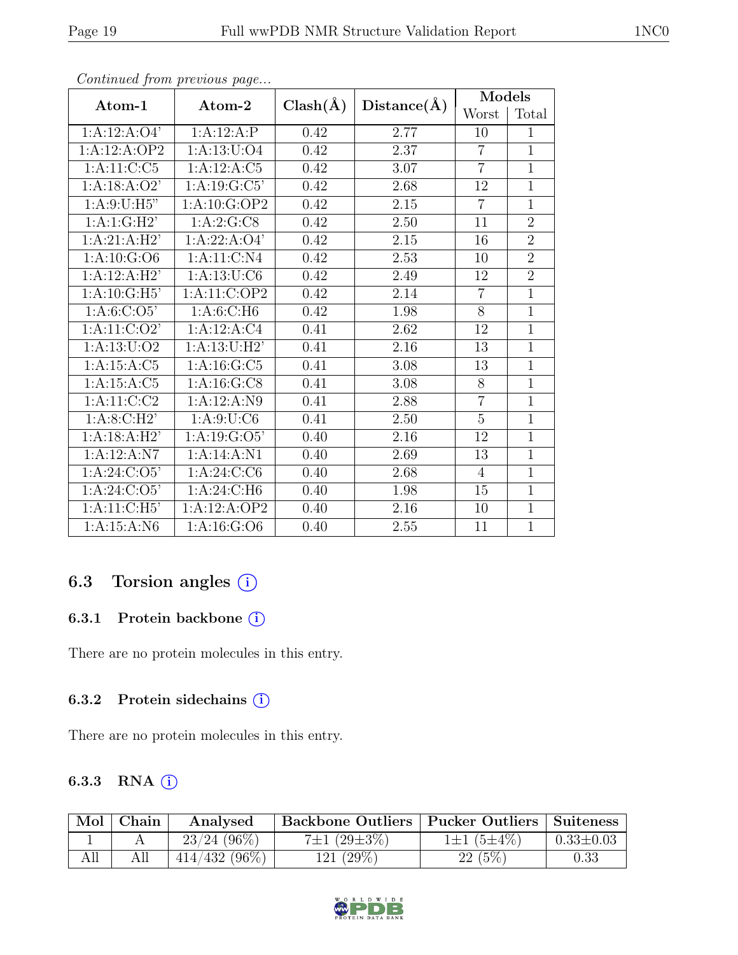| Atom-1          | Atom-2           | $Clash(\AA)$ | Distance(A) | Models         |                |
|-----------------|------------------|--------------|-------------|----------------|----------------|
|                 |                  |              |             | Worst          | Total          |
| 1:A:12:A:O4'    | 1:A:12:A:P       | 0.42         | 2.77        | 10             | $\mathbf{1}$   |
| 1:A:12:A:OP2    | 1:A:13:U:O4      | 0.42         | 2.37        | $\overline{7}$ | $\overline{1}$ |
| 1:A:11:C:C5     | 1:A:12:A:C5      | 0.42         | 3.07        | $\overline{7}$ | $\overline{1}$ |
| 1:A:18:A:O2'    | 1: A: 19: G: C5' | 0.42         | 2.68        | 12             | 1              |
| 1: A:9: U:H5"   | 1:A:10:G:OP2     | 0.42         | 2.15        | $\overline{7}$ | 1              |
| 1: A:1: G:H2'   | 1:A:2:G:CS       | 0.42         | 2.50        | 11             | $\overline{2}$ |
| 1:A:21:A:H2'    | 1:A:22:A:O4'     | 0.42         | 2.15        | 16             | $\overline{2}$ |
| 1: A: 10: G: O6 | 1: A: 11: C: N4  | 0.42         | 2.53        | 10             | $\overline{2}$ |
| 1:A:12:A:H2'    | 1: A: 13: U: C6  | 0.42         | 2.49        | 12             | $\overline{2}$ |
| 1: A:10: G:H5'  | 1:A:11:C:OP2     | 0.42         | 2.14        | $\overline{7}$ | $\mathbf{1}$   |
| 1: A:6: C:O5'   | 1: A:6: C:H6     | 0.42         | 1.98        | $\overline{8}$ | $\overline{1}$ |
| 1:A:11:C:O2'    | 1:A:12:A:C4      | 0.41         | 2.62        | 12             | $\overline{1}$ |
| 1: A: 13: U: O2 | 1: A:13: U:H2'   | 0.41         | 2.16        | 13             | $\mathbf{1}$   |
| 1: A: 15: A: C5 | 1: A: 16: G: C5  | 0.41         | 3.08        | 13             | $\overline{1}$ |
| 1: A: 15: A: C5 | 1: A: 16: G: C8  | 0.41         | 3.08        | 8              | $\overline{1}$ |
| 1: A: 11: C: C2 | 1:A:12:A:N9      | 0.41         | 2.88        | $\overline{7}$ | $\overline{1}$ |
| 1: A:8: C: H2'  | 1: A:9: U: C6    | 0.41         | 2.50        | $\overline{5}$ | $\overline{1}$ |
| 1:A:18:A:H2'    | 1: A: 19: G: O5' | 0.40         | 2.16        | 12             | $\overline{1}$ |
| 1:A:12:A:N7     | 1:A:14:A:N1      | 0.40         | 2.69        | 13             | $\overline{1}$ |
| 1: A:24: C:O5'  | 1:A:24:C:C6      | 0.40         | 2.68        | $\overline{4}$ | $\mathbf{1}$   |
| 1: A:24: C:O5'  | 1: A:24: C:H6    | 0.40         | 1.98        | 15             | $\mathbf{1}$   |
| 1: A:11: C:H5'  | 1:A:12:A:OP2     | 0.40         | 2.16        | 10             | $\mathbf{1}$   |
| 1: A: 15: A: N6 | 1: A: 16: G: O6  | 0.40         | 2.55        | 11             | $\mathbf{1}$   |

# 6.3 Torsion angles (i)

#### 6.3.1 Protein backbone ①

There are no protein molecules in this entry.

#### 6.3.2 Protein sidechains (i)

There are no protein molecules in this entry.

### 6.3.3 RNA  $(i)$

| Mol | Chain | Analysed        | <b>Backbone Outliers   Pucker Outliers   Suiteness</b> |                       |                 |
|-----|-------|-----------------|--------------------------------------------------------|-----------------------|-----------------|
|     |       | $23/24$ (96\%)  | 7 $\pm 1$ (29 $\pm 3\%$ )                              | $1\pm1$ (5 $\pm4\%$ ) | $0.33 \pm 0.03$ |
| All |       | $414/432(96\%)$ | $121(29\%)$                                            | $22(5\%)$             | $\rm 0.33$      |

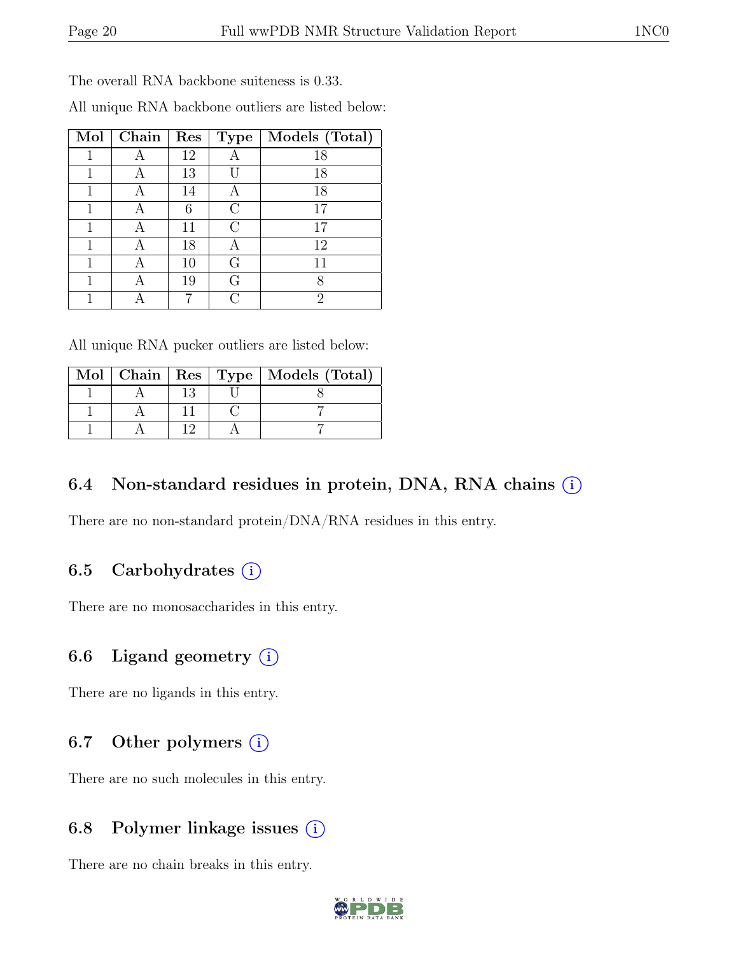The overall RNA backbone suiteness is 0.33.

| Mol | ${\bf Chain}$ | $\parallel$ Res |           | $\mid$ Type $\mid$ Models (Total) $\mid$ |
|-----|---------------|-----------------|-----------|------------------------------------------|
|     |               | 12              |           | 18                                       |
|     |               | 13              |           | 18                                       |
|     |               | 14              | А         | 18                                       |
|     |               | 6               | $\rm C$   | 17                                       |
|     |               | 11              | $\bigcap$ | 17                                       |
|     | А             | 18              | А         | 12                                       |
|     | А             | 10              | G         | 11                                       |
|     |               | 19              | G         |                                          |
|     |               |                 | C         | 2                                        |

All unique RNA backbone outliers are listed below:

All unique RNA pucker outliers are listed below:

|  |  | Mol   Chain   Res   Type   Models (Total) |
|--|--|-------------------------------------------|
|  |  |                                           |
|  |  |                                           |
|  |  |                                           |

## 6.4 Non-standard residues in protein, DNA, RNA chains (i)

There are no non-standard protein/DNA/RNA residues in this entry.

### 6.5 Carbohydrates  $(i)$

There are no monosaccharides in this entry.

### 6.6 Ligand geometry  $(i)$

There are no ligands in this entry.

# 6.7 Other polymers (i)

There are no such molecules in this entry.

### 6.8 Polymer linkage issues  $(i)$

There are no chain breaks in this entry.